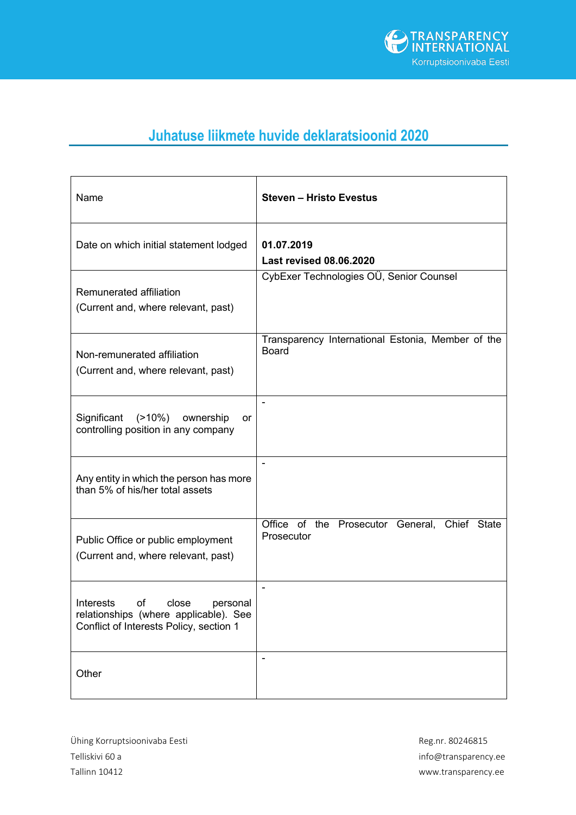

## **Juhatuse liikmete huvide deklaratsioonid 2020**

| Name                                                                                                                     | <b>Steven - Hristo Evestus</b>                                    |
|--------------------------------------------------------------------------------------------------------------------------|-------------------------------------------------------------------|
| Date on which initial statement lodged                                                                                   | 01.07.2019<br><b>Last revised 08.06.2020</b>                      |
| Remunerated affiliation<br>(Current and, where relevant, past)                                                           | CybExer Technologies OÜ, Senior Counsel                           |
| Non-remunerated affiliation<br>(Current and, where relevant, past)                                                       | Transparency International Estonia, Member of the<br><b>Board</b> |
| Significant<br>$(>10\%)$<br>ownership<br>or<br>controlling position in any company                                       |                                                                   |
| Any entity in which the person has more<br>than 5% of his/her total assets                                               | $\qquad \qquad \blacksquare$                                      |
| Public Office or public employment<br>(Current and, where relevant, past)                                                | Office of the Prosecutor General, Chief State<br>Prosecutor       |
| Interests<br>of<br>close<br>personal<br>relationships (where applicable). See<br>Conflict of Interests Policy, section 1 | $\qquad \qquad \blacksquare$                                      |
| Other                                                                                                                    |                                                                   |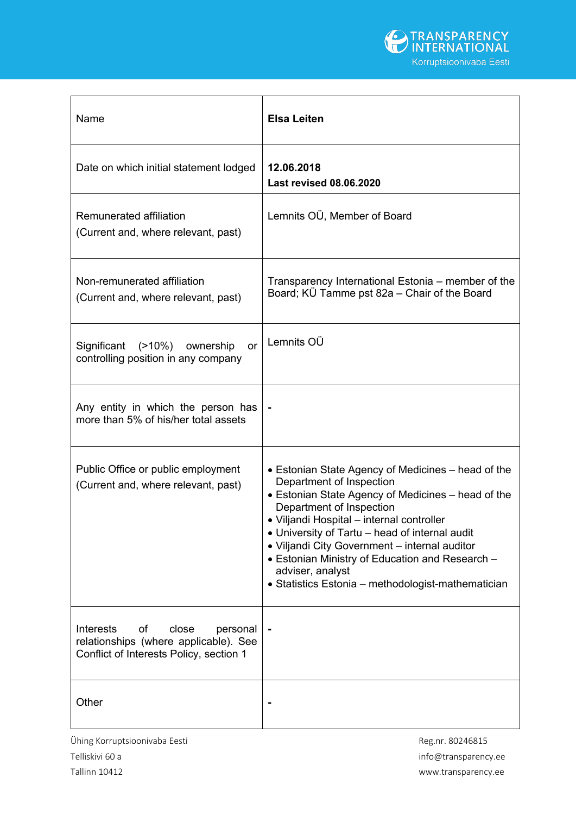

| Name                                                                                                                     | <b>Elsa Leiten</b>                                                                                                                                                                                                                                                                                                                                                                                                                            |
|--------------------------------------------------------------------------------------------------------------------------|-----------------------------------------------------------------------------------------------------------------------------------------------------------------------------------------------------------------------------------------------------------------------------------------------------------------------------------------------------------------------------------------------------------------------------------------------|
| Date on which initial statement lodged                                                                                   | 12.06.2018<br><b>Last revised 08.06.2020</b>                                                                                                                                                                                                                                                                                                                                                                                                  |
| Remunerated affiliation<br>(Current and, where relevant, past)                                                           | Lemnits OÜ, Member of Board                                                                                                                                                                                                                                                                                                                                                                                                                   |
| Non-remunerated affiliation<br>(Current and, where relevant, past)                                                       | Transparency International Estonia – member of the<br>Board; KÜ Tamme pst 82a – Chair of the Board                                                                                                                                                                                                                                                                                                                                            |
| Significant<br>(>10%)<br>ownership<br>or<br>controlling position in any company                                          | Lemnits OÜ                                                                                                                                                                                                                                                                                                                                                                                                                                    |
| Any entity in which the person has<br>more than 5% of his/her total assets                                               |                                                                                                                                                                                                                                                                                                                                                                                                                                               |
| Public Office or public employment<br>(Current and, where relevant, past)                                                | • Estonian State Agency of Medicines – head of the<br>Department of Inspection<br>• Estonian State Agency of Medicines - head of the<br>Department of Inspection<br>· Viljandi Hospital - internal controller<br>• University of Tartu – head of internal audit<br>• Viljandi City Government - internal auditor<br>• Estonian Ministry of Education and Research -<br>adviser, analyst<br>• Statistics Estonia – methodologist-mathematician |
| of<br>Interests<br>close<br>personal<br>relationships (where applicable). See<br>Conflict of Interests Policy, section 1 |                                                                                                                                                                                                                                                                                                                                                                                                                                               |
| Other                                                                                                                    |                                                                                                                                                                                                                                                                                                                                                                                                                                               |

Ühing Korruptsioonivaba Eesti aastas asuta Reg.nr. 80246815 Telliskivi 60 a info@transparency.ee

Tallinn 10412 www.transparency.ee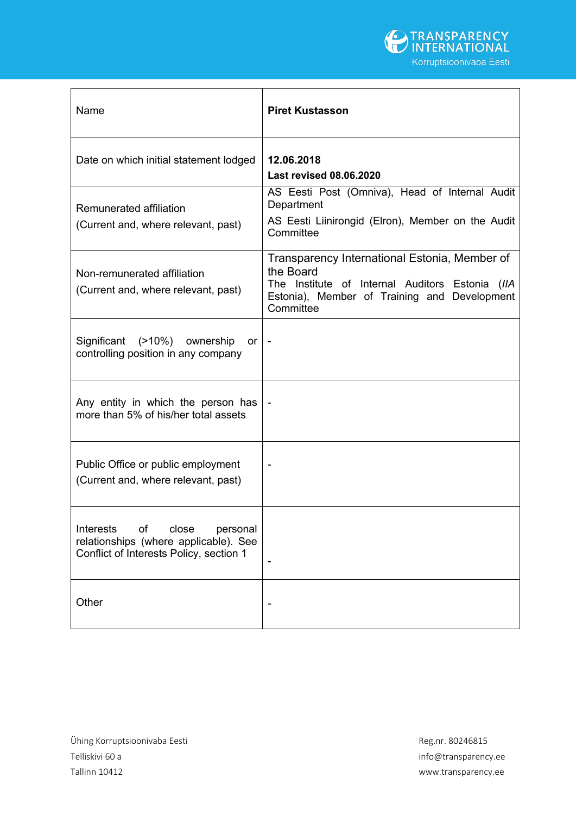

| Name                                                                                                                     | <b>Piret Kustasson</b>                                                                                                                                                     |
|--------------------------------------------------------------------------------------------------------------------------|----------------------------------------------------------------------------------------------------------------------------------------------------------------------------|
| Date on which initial statement lodged                                                                                   | 12.06.2018<br><b>Last revised 08.06.2020</b>                                                                                                                               |
| Remunerated affiliation<br>(Current and, where relevant, past)                                                           | AS Eesti Post (Omniva), Head of Internal Audit<br>Department<br>AS Eesti Liinirongid (Elron), Member on the Audit<br>Committee                                             |
| Non-remunerated affiliation<br>(Current and, where relevant, past)                                                       | Transparency International Estonia, Member of<br>the Board<br>The Institute of Internal Auditors Estonia (IIA<br>Estonia), Member of Training and Development<br>Committee |
| Significant<br>(>10%) ownership<br>or $\vert$ -<br>controlling position in any company                                   |                                                                                                                                                                            |
| Any entity in which the person has<br>more than 5% of his/her total assets                                               |                                                                                                                                                                            |
| Public Office or public employment<br>(Current and, where relevant, past)                                                |                                                                                                                                                                            |
| of<br>close<br>Interests<br>personal<br>relationships (where applicable). See<br>Conflict of Interests Policy, section 1 |                                                                                                                                                                            |
| Other                                                                                                                    |                                                                                                                                                                            |